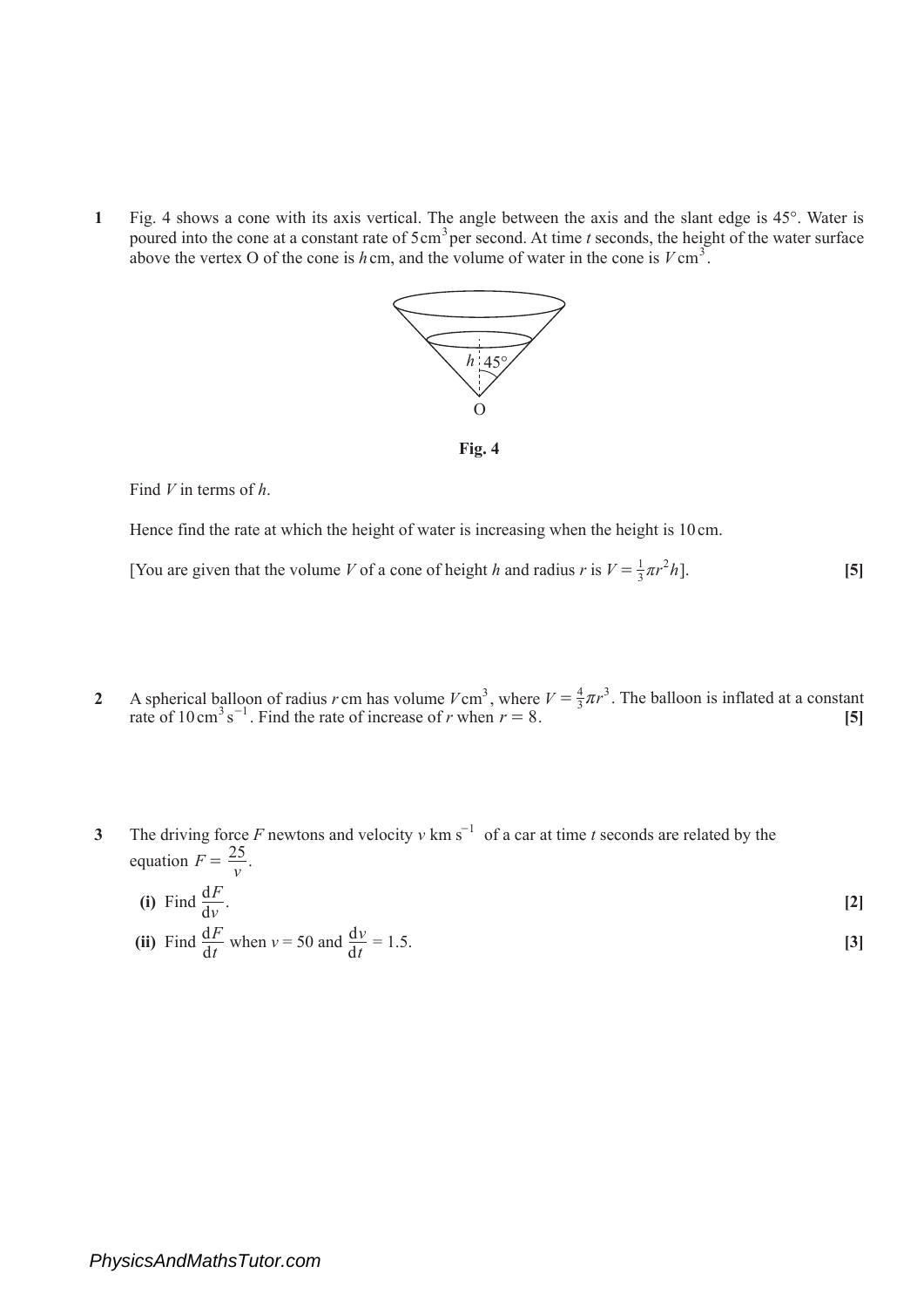**1** Fig. 4 shows a cone with its axis vertical. The angle between the axis and the slant edge is 45°. Water is poured into the cone at a constant rate of  $5 \text{ cm}^3$  per second. At time  $t$  seconds, the height of the water surface above the vertex O of the cone is  $h$  cm, and the volume of water in the cone is  $V \text{ cm}^3$ .



**Fig. 4**

Find *V* in terms of *h*.

Hence find the rate at which the height of water is increasing when the height is 10 cm.

3 [You are given that the volume *V* of a cone of height *h* and radius *r* is  $V = \frac{1}{3}\pi r^2$ *h*]. **[5]**

- **2** A spherical balloon of radius *r* cm has volume  $V \text{ cm}^3$ , where  $V = \frac{4}{3}$ rate of 10 cm<sup>3</sup> s<sup>-1</sup>. Find the rate of increase of *r* when  $r = 8$ .  $=\frac{4}{3}\pi r^3$ . The balloon is inflated at a constant **[5]**
- **3** The driving force F newtons and velocity  $v \text{ km s}^{-1}$  of a car at time *t* seconds are related by the equation  $F = \frac{25}{v}$ .

(i) Find 
$$
\frac{dF}{dv}
$$
.  
\n(ii) Find  $\frac{dF}{dt}$  when  $v = 50$  and  $\frac{dv}{dt} = 1.5$ .  
\n[3]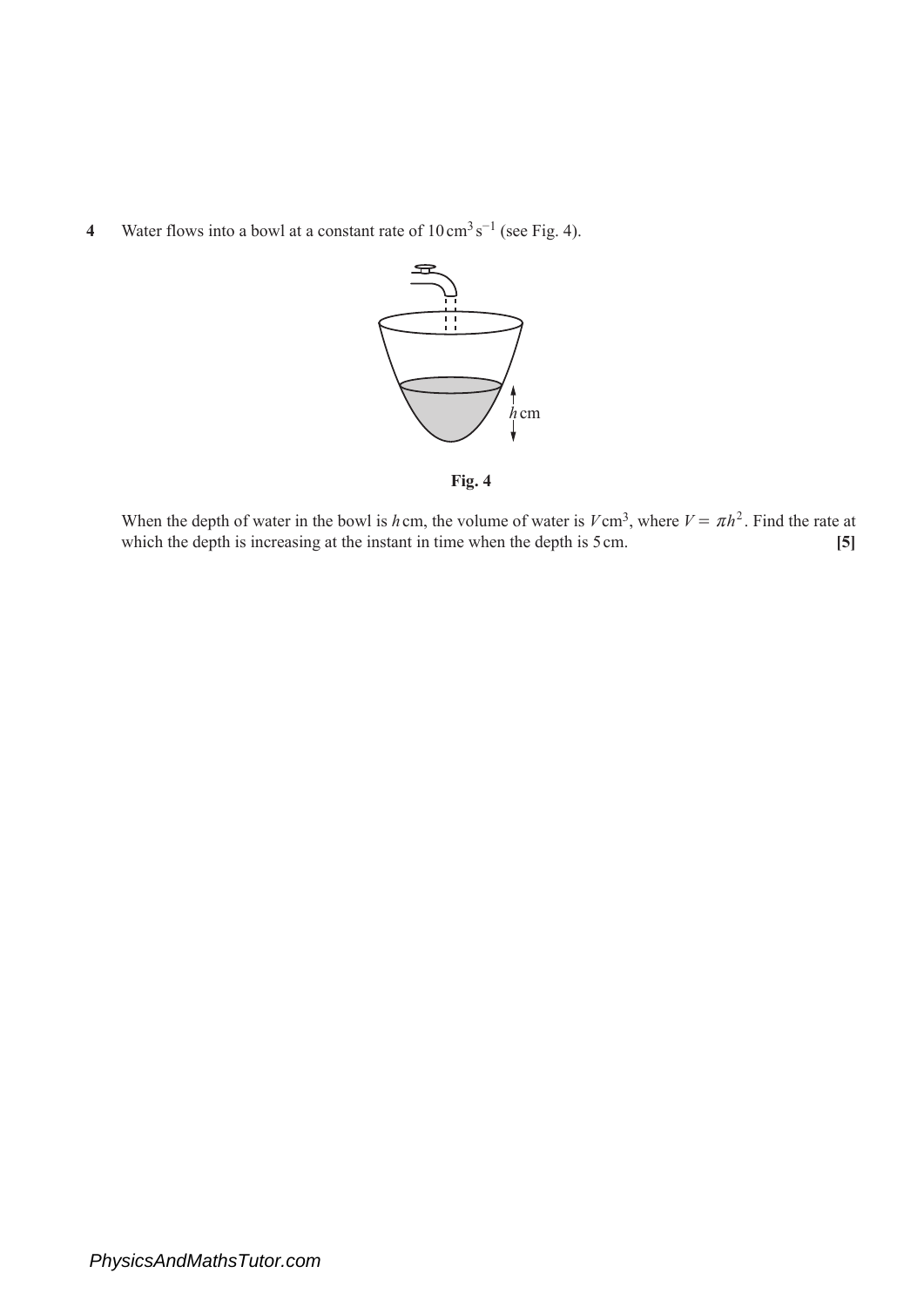**4 Water flows into a bowl at a constant rate of 10 cm<sup>3</sup> s<sup>−1</sup> (see Fig. 4).** 



**Fig. 4**

When the depth of water in the bowl is  $h$  cm, the volume of water is  $V \text{cm}^3$ , where  $V$ which the depth is increasing at the instant in time when the depth is 5 cm.  $= \pi h^2$ . Find the rate at **[5]**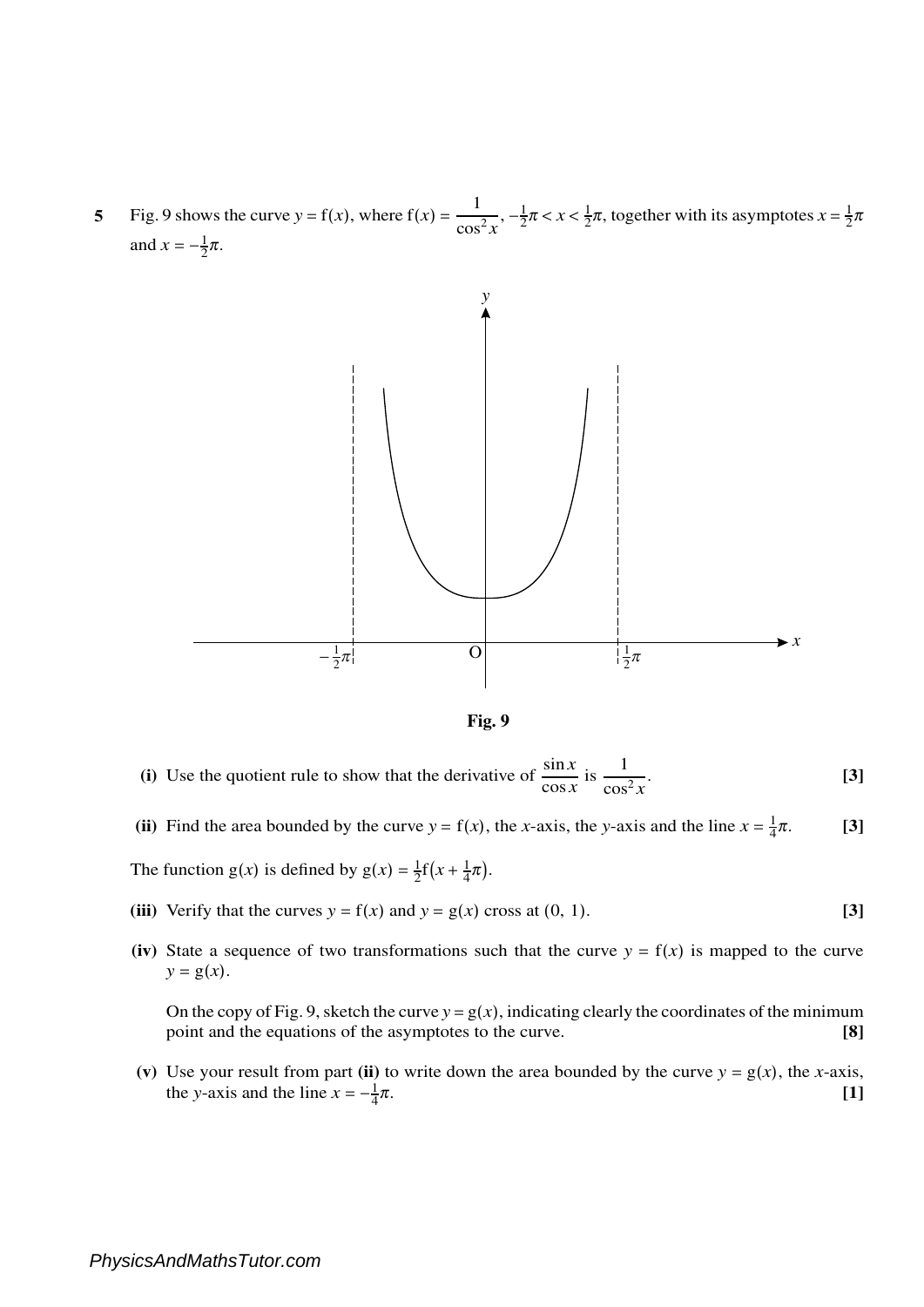**5** 1  $\frac{1}{\cos^2 x}, -\frac{1}{2}$  $\frac{1}{2}\pi < x < \frac{1}{2}$  $\frac{1}{2}\pi$ , together with its asymptotes  $x = \frac{1}{2}$ Fig. 9 shows the curve  $y = f(x)$ , where  $f(x) = \frac{1}{\cos^2 x}$ ,  $-\frac{1}{2}\pi < x < \frac{1}{2}\pi$ , together with its asymptotes  $x = \frac{1}{2}\pi$ and  $x = -\frac{1}{2}\pi$ .



**Fig. 9**

- (i) Use the quotient rule to show that the derivative of  $\frac{\sin x}{\cos x}$  is  $\frac{1}{\cos x}$  $\cos^2 x$ . **[3]**
- (ii) Find the area bounded by the curve  $y = f(x)$ , the *x*-axis, the *y*-axis and the line  $x = \frac{1}{4}$ 4 <sup>π</sup>. **[3]**

The function  $g(x)$  is defined by  $g(x) = \frac{1}{2}f(x + \frac{1}{4})$  $rac{1}{4}\pi$ ).

- (iii) Verify that the curves  $y = f(x)$  and  $y = g(x)$  cross at  $(0, 1)$ . [3]
- (iv) State a sequence of two transformations such that the curve  $y = f(x)$  is mapped to the curve  $y = g(x)$ .

On the copy of Fig. 9, sketch the curve  $y = g(x)$ , indicating clearly the coordinates of the minimum point and the equations of the asymptotes to the curve. [8] point and the equations of the asymptotes to the curve. **[8]**

(v) Use your result from part (ii) to write down the area bounded by the curve  $y = g(x)$ , the *x*-axis, the *y*-axis and the line  $x = -\frac{1}{4}$  $\frac{1}{4}\pi$ . [1]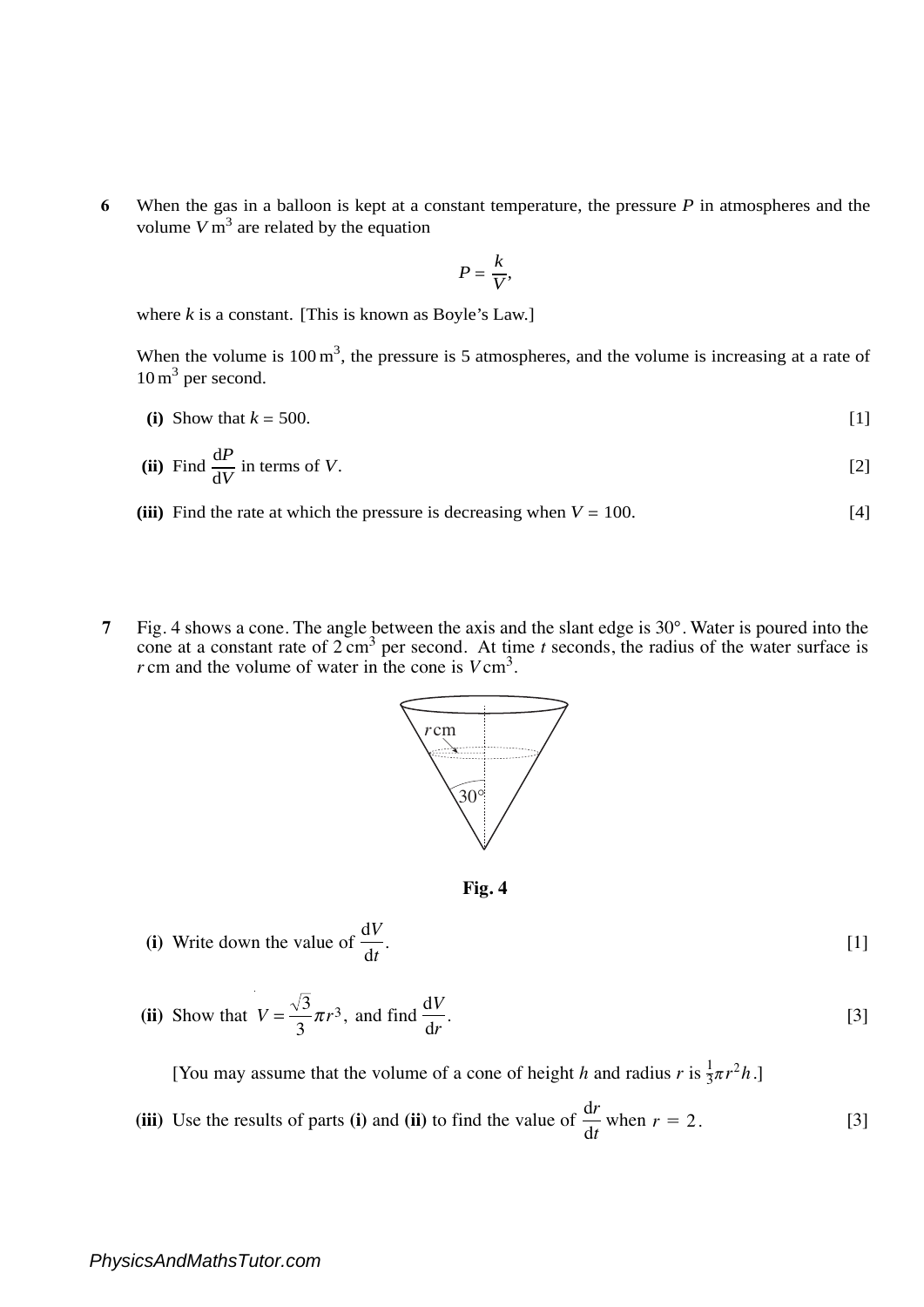**6** When the gas in a balloon is kept at a constant temperature, the pressure *P* in atmospheres and the volume  $V \overline{m}^3$  are related by the equation

$$
P=\frac{k}{V},
$$

where  $k$  is a constant. [This is known as Boyle's Law.]

When the volume is  $100 \text{ m}^3$ , the pressure is 5 atmospheres, and the volume is increasing at a rate of  $10 \,\mathrm{m}^3$  per second.

(i) Show that  $k = 500$ . [1]

(ii) Find 
$$
\frac{dP}{dV}
$$
 in terms of V. [2]

- (iii) Find the rate at which the pressure is decreasing when  $V = 100$ . [4]
- **7** Fig. 4 shows a cone. The angle between the axis and the slant edge is 30°. Water is poured into the cone at a constant rate of 2 cm3 per second. At time *t* seconds, the radius of the water surface is *r* cm and the volume of water in the cone is *V* cm3.



**Fig. 4**

(i) Write down the value of 
$$
\frac{dV}{dt}
$$
. [1]

(ii) Show that 
$$
V = \frac{\sqrt{3}}{3}\pi r^3
$$
, and find  $\frac{dV}{dr}$ . [3]

[You may assume that the volume of a cone of height *h* and radius *r* is  $\frac{1}{3}\pi r^2 h$ .]

**(iii)** Use the results of parts **(i)** and **(ii)** to find the value of  $\frac{dr}{dr}$  when  $r = 2$ . [3] d*t*